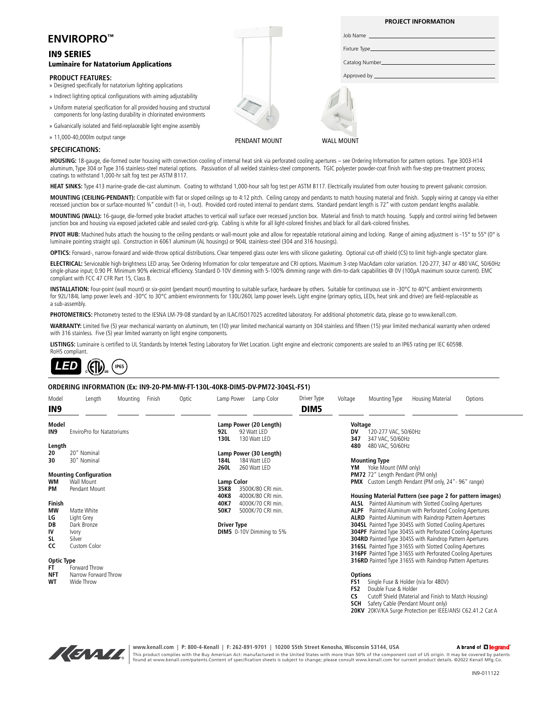|                                                                                                                                                |               | <b>PROJECT INFORMATION</b> |
|------------------------------------------------------------------------------------------------------------------------------------------------|---------------|----------------------------|
| <b>ENVIROPRO™</b>                                                                                                                              |               |                            |
| <b>IN9 SERIES</b>                                                                                                                              |               |                            |
| <b>Luminaire for Natatorium Applications</b>                                                                                                   |               |                            |
| <b>PRODUCT FEATURES:</b><br>» Designed specifically for natatorium lighting applications                                                       |               |                            |
| » Indirect lighting optical configurations with aiming adjustability                                                                           |               |                            |
| » Uniform material specification for all provided housing and structural<br>components for long-lasting durability in chlorinated environments |               |                            |
| » Galvanically isolated and field-replaceable light engine assembly                                                                            |               |                            |
| » 11,000-40,000lm output range                                                                                                                 | PENDANT MOUNT | <b>WALL MOUNT</b>          |
| <b>SPECIFICATIONS:</b>                                                                                                                         |               |                            |

**HOUSING:** 18-gauge, die-formed outer housing with convection cooling of internal heat sink via perforated cooling apertures – see Ordering Information for pattern options. Type 3003-H14 aluminum, Type 304 or Type 316 stainless-steel material options. Passivation of all welded stainless-steel components. TGIC polyester powder-coat finish with five-step pre-treatment process; coatings to withstand 1,000-hr salt fog test per ASTM B117.

HEAT SINKS: Type 413 marine-grade die-cast aluminum. Coating to withstand 1,000-hour salt fog test per ASTM B117. Electrically insulated from outer housing to prevent galvanic corrosion.

**MOUNTING (CEILING-PENDANT):** Compatible with flat or sloped ceilings up to 4:12 pitch. Ceiling canopy and pendants to match housing material and finish. Supply wiring at canopy via either recessed junction box or surface-mounted ¾" conduit (1-in, 1-out). Provided cord routed internal to pendant stems. Standard pendant length is 72" with custom pendant lengths available.

MOUNTING (WALL): 16-gauge, die-formed yoke bracket attaches to vertical wall surface over recessed junction box. Material and finish to match housing. Supply and control wiring fed between junction box and housing via exposed jacketed cable and sealed cord-grip. Cabling is white for all light-colored finishes and black for all dark-colored finishes.

PIVOT HUB: Machined hubs attach the housing to the ceiling pendants or wall-mount yoke and allow for repeatable rotational aiming and locking. Range of aiming adjustment is -15° to 55° (0° is luminaire pointing straight up). Construction in 6061 aluminum (AL housings) or 904L stainless-steel (304 and 316 housings).

**OPTICS:** Forward-, narrow-forward and wide-throw optical distributions. Clear tempered glass outer lens with silicone gasketing. Optional cut-off shield (CS) to limit high-angle spectator glare.

**ELECTRICAL:** Serviceable high-brightness LED array. See Ordering Information for color temperature and CRI options. Maximum 3-step MacAdam color variation. 120-277, 347 or 480 VAC, 50/60Hz single-phase input; 0.90 PF. Minimum 90% electrical efficiency. Standard 0-10V dimming with 5-100% dimming range with dim-to-dark capabilities @ 0V (100µA maximum source current). EMC compliant with FCC 47 CFR Part 15, Class B.

**INSTALLATION:** Four-point (wall mount) or six-point (pendant mount) mounting to suitable surface, hardware by others. Suitable for continuous use in -30°C to 40°C ambient environments for 92L/184L lamp power levels and -30°C to 30°C ambient environments for 130L/260L lamp power levels. Light engine (primary optics, LEDs, heat sink and driver) are field-replaceable as a sub-assembly.

PHOTOMETRICS: Photometry tested to the IESNA LM-79-08 standard by an ILAC/ISO17025 accredited laboratory. For additional photometric data, please go to www.kenall.com.

**WARRANTY:** Limited five (5) year mechanical warranty on aluminum, ten (10) year limited mechanical warranty on 304 stainless and fifteen (15) year limited mechanical warranty when ordered with 316 stainless. Five (5) year limited warranty on light engine components.

LISTINGS: Luminaire is certified to UL Standards by Intertek Testing Laboratory for Wet Location. Light engine and electronic components are sealed to an IP65 rating per IEC 60598. RoHS compliant.



#### **ORDERING INFORMATION (Ex: IN9-20-PM-MW-FT-130L-40K8-DIM5-DV-PM72-304SL-FS1)**

| Model             | Length                           | Mounting | Finish | Optic | Lamp Power             | Lamp Color                  | Driver Type | Voltage         | Mounting Type                            | Housing Material                                                                                                           | Options |  |  |
|-------------------|----------------------------------|----------|--------|-------|------------------------|-----------------------------|-------------|-----------------|------------------------------------------|----------------------------------------------------------------------------------------------------------------------------|---------|--|--|
| IN <sub>9</sub>   |                                  |          |        |       |                        |                             | DIM5        |                 |                                          |                                                                                                                            |         |  |  |
| <b>Model</b>      |                                  |          |        |       | Lamp Power (20 Length) |                             |             |                 | Voltage                                  |                                                                                                                            |         |  |  |
| IN <sub>9</sub>   | <b>EnviroPro for Natatoriums</b> |          |        |       | 92L<br>130L            | 92 Watt LED<br>130 Watt LED |             | DV<br>347       | 120-277 VAC, 50/60Hz<br>347 VAC, 50/60Hz |                                                                                                                            |         |  |  |
| Length            |                                  |          |        |       |                        |                             |             | 480             | 480 VAC, 50/60Hz                         |                                                                                                                            |         |  |  |
| 20                | 20" Nominal                      |          |        |       |                        | Lamp Power (30 Length)      |             |                 |                                          |                                                                                                                            |         |  |  |
| 30                | 30" Nominal                      |          |        |       | 184L<br>184 Watt LED   |                             |             |                 | <b>Mounting Type</b>                     |                                                                                                                            |         |  |  |
|                   |                                  |          |        |       | 260L                   | 260 Watt LED                |             | YM              | Yoke Mount (WM only)                     |                                                                                                                            |         |  |  |
|                   | <b>Mounting Configuration</b>    |          |        |       |                        |                             |             |                 | <b>PM72</b> 72" Length Pendant (PM only) |                                                                                                                            |         |  |  |
| WМ                | Wall Mount                       |          |        |       | <b>Lamp Color</b>      |                             |             |                 |                                          | <b>PMX</b> Custom Length Pendant (PM only, 24" - 96" range)                                                                |         |  |  |
| PM                | Pendant Mount                    |          |        |       | 35K8                   | 3500K/80 CRI min.           |             |                 |                                          |                                                                                                                            |         |  |  |
|                   |                                  |          |        |       | 40K8                   | 4000K/80 CRI min.           |             |                 |                                          | Housing Material Pattern (see page 2 for pattern images)                                                                   |         |  |  |
| <b>Finish</b>     |                                  |          |        |       | 40K7                   | 4000K/70 CRI min.           |             |                 |                                          | <b>ALSL</b> Painted Aluminum with Slotted Cooling Apertures                                                                |         |  |  |
| MW                | Matte White                      |          |        |       | 50K7                   | 5000K/70 CRI min.           |             |                 |                                          | <b>ALPF</b> Painted Aluminum with Perforated Cooling Apertures                                                             |         |  |  |
| LG                | Light Grey                       |          |        |       |                        |                             |             |                 |                                          | <b>ALRD</b> Painted Aluminum with Raindrop Pattern Apertures                                                               |         |  |  |
| DB<br>IV          | Dark Bronze                      |          |        |       | <b>Driver Type</b>     |                             |             |                 |                                          | <b>304SL</b> Painted Type 304SS with Slotted Cooling Apertures                                                             |         |  |  |
| SL                | Ivory                            |          |        |       |                        | DIM5 0-10V Dimming to 5%    |             |                 |                                          | <b>304PF</b> Painted Type 304SS with Perforated Cooling Apertures                                                          |         |  |  |
| CC                | Silver<br>Custom Color           |          |        |       |                        |                             |             |                 |                                          | <b>304RD</b> Painted Type 304SS with Raindrop Pattern Apertures<br>316SL Painted Type 316SS with Slotted Cooling Apertures |         |  |  |
|                   |                                  |          |        |       |                        |                             |             |                 |                                          | <b>316PF</b> Painted Type 316SS with Perforated Cooling Apertures                                                          |         |  |  |
| <b>Optic Type</b> |                                  |          |        |       |                        |                             |             |                 |                                          | <b>316RD</b> Painted Type 316SS with Raindrop Pattern Apertures                                                            |         |  |  |
| FT.               | Forward Throw                    |          |        |       |                        |                             |             |                 |                                          |                                                                                                                            |         |  |  |
| <b>NFT</b>        | Narrow Forward Throw             |          |        |       |                        |                             |             | <b>Options</b>  |                                          |                                                                                                                            |         |  |  |
| WT                | Wide Throw                       |          |        |       |                        |                             |             | FS1             | Single Fuse & Holder (n/a for 480V)      |                                                                                                                            |         |  |  |
|                   |                                  |          |        |       |                        |                             |             | FS <sub>2</sub> | Double Fuse & Holder                     |                                                                                                                            |         |  |  |
|                   |                                  |          |        |       |                        |                             |             | <b>CS</b>       |                                          | Cutoff Shield (Material and Finish to Match Housing)                                                                       |         |  |  |
|                   |                                  |          |        |       |                        |                             |             | <b>SCH</b>      | Safety Cable (Pendant Mount only)        |                                                                                                                            |         |  |  |
|                   |                                  |          |        |       |                        |                             |             |                 |                                          | 20KV 20KV/KA Surge Protection per IEEE/ANSI C62.41.2 Cat A                                                                 |         |  |  |



**www.kenall.com | P: 800-4-Kenall | F: 262-891-9701 | 10200 55th Street Kenosha, Wisconsin 53144, USA**  This product complies with the Buy American Act: manufactured in the United States with more than 50% of the component cost of US origin. It may be covered by patents<br>found at www.kenall.com/patents.Content of specificatio

A brand of Lilegrand

IN9-011122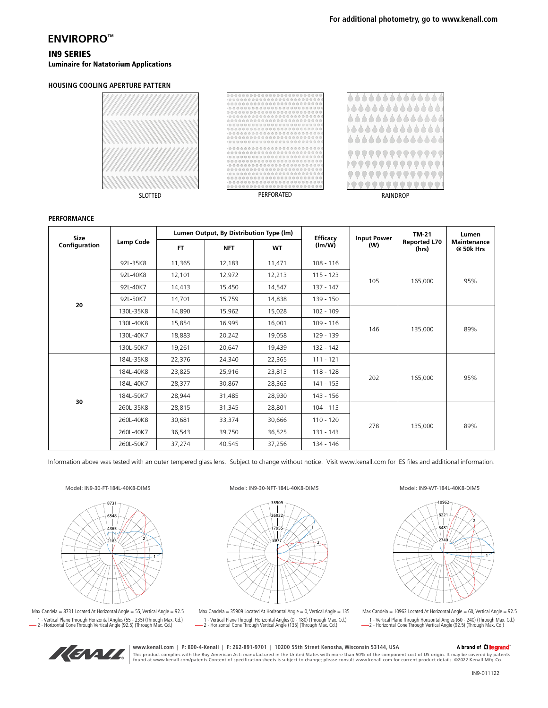# **ENVIROPRO™**

### IN9 SERIES Luminaire for Natatorium Applications

#### **HOUSING COOLING APERTURE PATTERN**







#### **PERFORMANCE**

| Size<br>Configuration | Lamp Code | Lumen Output, By Distribution Type (Im) |            |           | <b>Efficacy</b> | <b>Input Power</b> | <b>TM-21</b>                 | Lumen                    |
|-----------------------|-----------|-----------------------------------------|------------|-----------|-----------------|--------------------|------------------------------|--------------------------|
|                       |           | <b>FT</b>                               | <b>NFT</b> | <b>WT</b> | (lm/W)          | (W)                | <b>Reported L70</b><br>(hrs) | Maintenance<br>@ 50k Hrs |
|                       | 92L-35K8  | 11,365                                  | 12,183     | 11,471    | $108 - 116$     | 105                | 165,000                      | 95%                      |
|                       | 92L-40K8  | 12,101                                  | 12,972     | 12,213    | $115 - 123$     |                    |                              |                          |
|                       | 921-40K7  | 14,413                                  | 15,450     | 14,547    | $137 - 147$     |                    |                              |                          |
| 20                    | 92L-50K7  | 14,701                                  | 15,759     | 14,838    | 139 - 150       |                    |                              |                          |
|                       | 130L-35K8 | 14,890                                  | 15,962     | 15,028    | $102 - 109$     |                    | 135,000                      | 89%                      |
|                       | 130L-40K8 | 15,854                                  | 16,995     | 16,001    | $109 - 116$     | 146                |                              |                          |
|                       | 130L-40K7 | 18,883                                  | 20,242     | 19,058    | 129 - 139       |                    |                              |                          |
|                       | 130L-50K7 | 19,261                                  | 20,647     | 19,439    | 132 - 142       |                    |                              |                          |
|                       | 184L-35K8 | 22,376                                  | 24,340     | 22,365    | $111 - 121$     | 202                | 165,000                      | 95%                      |
|                       | 184L-40K8 | 23,825                                  | 25,916     | 23,813    | $118 - 128$     |                    |                              |                          |
|                       | 184L-40K7 | 28,377                                  | 30,867     | 28,363    | $141 - 153$     |                    |                              |                          |
| 30                    | 184L-50K7 | 28,944                                  | 31,485     | 28,930    | 143 - 156       |                    |                              |                          |
|                       | 260L-35K8 | 28,815                                  | 31,345     | 28,801    | $104 - 113$     |                    | 135,000                      | 89%                      |
|                       | 260L-40K8 | 30,681                                  | 33,374     | 30,666    | $110 - 120$     | 278                |                              |                          |
|                       | 260L-40K7 | 36,543                                  | 39,750     | 36,525    | 131 - 143       |                    |                              |                          |
|                       | 260L-50K7 | 37,274                                  | 40,545     | 37,256    | 134 - 146       |                    |                              |                          |

Information above was tested with an outer tempered glass lens. Subject to change without notice. Visit www.kenall.com for IES files and additional information.

Model: IN9-30-FT-184L-40K8-DIM5



Max Candela = 8731 Located At Horizontal Angle = 55, Vertical Angle = 92.5 1 - Vertical Plane Through Horizontal Angles (55 - 235) (Through Max. Cd.) 2 - Horizontal Cone Through Vertical Angle (92.5) (Through Max. Cd.)





Max Candela = 35909 Located At Horizontal Angle = 0, Vertical Angle =  $135$ 1 - Vertical Plane Through Horizontal Angles (0 - 180) (Through Max. Cd.) 2 - Horizontal Cone Through Vertical Angle (135) (Through Max. Cd.)

Model: IN9-WT-184L-40K8-DIM5



Max Candela = 10962 Located At Horizontal Angle =  $60$ , Vertical Angle =  $92.5$ 1 - Vertical Plane Through Horizontal Angles (60 - 240) (Through Max. Cd.) 2 - Horizontal Cone Through Vertical Angle (92.5) (Through Max. Cd.)



## **www.kenall.com | P: 800-4-Kenall | F: 262-891-9701 | 10200 55th Street Kenosha, Wisconsin 53144, USA**

A brand of **L'I legrand** This product complies with the Buy American Act: manufactured in the United States with more than 50% of the component cost of US origin. It may be covered by patents<br>found at www.kenall.com/patents.Content of specificatio